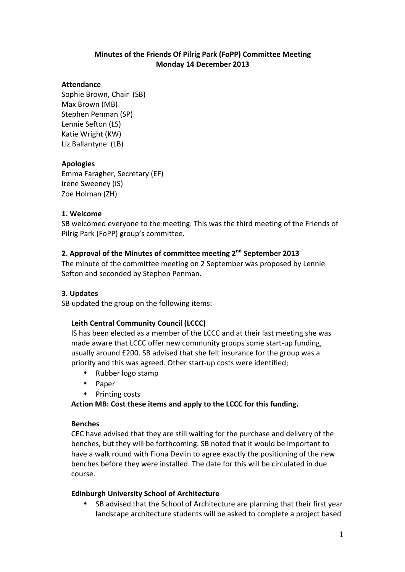# **Minutes of the Friends Of Pilrig Park (FoPP) Committee Meeting Monday 14 December 2013**

#### **Attendance**

Sophie Brown, Chair (SB) Max Brown (MB) Stephen Penman (SP) Lennie Sefton (LS) Katie Wright (KW) Liz Ballantyne (LB)

# **Apologies**

Emma Faragher, Secretary (EF) Irene Sweeney (IS) Zoe Holman (ZH)

#### **1. Welcome**

SB welcomed everyone to the meeting. This was the third meeting of the Friends of Pilrig Park (FoPP) group's committee.

# **2. Approval of the Minutes of committee meeting 2nd September 2013**

The minute of the committee meeting on 2 September was proposed by Lennie Sefton and seconded by Stephen Penman.

# **3. Updates**

SB updated the group on the following items:

# Leith Central Community Council (LCCC)

IS has been elected as a member of the LCCC and at their last meeting she was made aware that LCCC offer new community groups some start-up funding, usually around £200. SB advised that she felt insurance for the group was a priority and this was agreed. Other start-up costs were identified;

- Rubber logo stamp
- Paper
- Printing costs

Action MB: Cost these items and apply to the LCCC for this funding.

#### **Benches**

CEC have advised that they are still waiting for the purchase and delivery of the benches, but they will be forthcoming. SB noted that it would be important to have a walk round with Fiona Devlin to agree exactly the positioning of the new benches before they were installed. The date for this will be circulated in due course.

#### **Edinburgh University School of Architecture**

• SB advised that the School of Architecture are planning that their first year landscape architecture students will be asked to complete a project based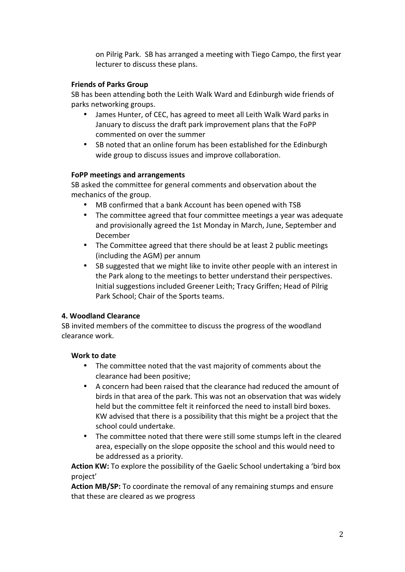on Pilrig Park. SB has arranged a meeting with Tiego Campo, the first year lecturer to discuss these plans.

# **Friends of Parks Group**

SB has been attending both the Leith Walk Ward and Edinburgh wide friends of parks networking groups.

- James Hunter, of CEC, has agreed to meet all Leith Walk Ward parks in January to discuss the draft park improvement plans that the FoPP commented on over the summer
- SB noted that an online forum has been established for the Edinburgh wide group to discuss issues and improve collaboration.

# **FoPP meetings and arrangements**

SB asked the committee for general comments and observation about the mechanics of the group.

- MB confirmed that a bank Account has been opened with TSB
- The committee agreed that four committee meetings a year was adequate and provisionally agreed the 1st Monday in March, June, September and December
- The Committee agreed that there should be at least 2 public meetings (including the AGM) per annum
- SB suggested that we might like to invite other people with an interest in the Park along to the meetings to better understand their perspectives. Initial suggestions included Greener Leith; Tracy Griffen; Head of Pilrig Park School; Chair of the Sports teams.

# **4. Woodland Clearance**

SB invited members of the committee to discuss the progress of the woodland clearance work.

# **Work to date**

- The committee noted that the vast majority of comments about the clearance had been positive:
- A concern had been raised that the clearance had reduced the amount of birds in that area of the park. This was not an observation that was widely held but the committee felt it reinforced the need to install bird boxes. KW advised that there is a possibility that this might be a project that the school could undertake.
- The committee noted that there were still some stumps left in the cleared area, especially on the slope opposite the school and this would need to be addressed as a priority.

**Action KW:** To explore the possibility of the Gaelic School undertaking a 'bird box project'

Action MB/SP: To coordinate the removal of any remaining stumps and ensure that these are cleared as we progress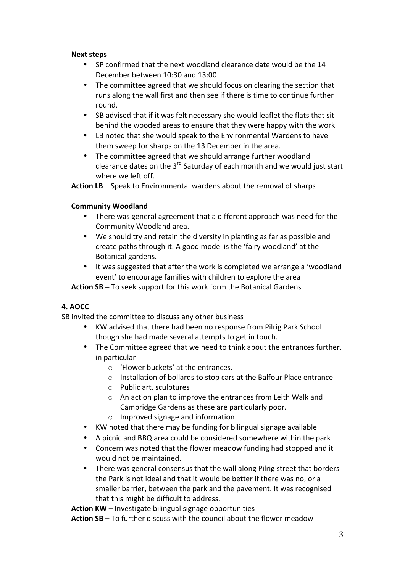#### **Next steps**

- SP confirmed that the next woodland clearance date would be the 14 December between 10:30 and 13:00
- The committee agreed that we should focus on clearing the section that runs along the wall first and then see if there is time to continue further round.
- SB advised that if it was felt necessary she would leaflet the flats that sit behind the wooded areas to ensure that they were happy with the work
- LB noted that she would speak to the Environmental Wardens to have them sweep for sharps on the 13 December in the area.
- The committee agreed that we should arrange further woodland clearance dates on the  $3<sup>rd</sup>$  Saturday of each month and we would just start where we left off.

**Action LB** – Speak to Environmental wardens about the removal of sharps

#### **Community Woodland**

- There was general agreement that a different approach was need for the Community Woodland area.
- We should try and retain the diversity in planting as far as possible and create paths through it. A good model is the 'fairy woodland' at the Botanical gardens.
- It was suggested that after the work is completed we arrange a 'woodland event' to encourage families with children to explore the area

**Action SB** – To seek support for this work form the Botanical Gardens

# **4. AOCC**

SB invited the committee to discuss any other business

- KW advised that there had been no response from Pilrig Park School though she had made several attempts to get in touch.
- The Committee agreed that we need to think about the entrances further, in particular
	- $\circ$  'Flower buckets' at the entrances.
	- $\circ$  Installation of bollards to stop cars at the Balfour Place entrance
	- $\circ$  Public art, sculptures
	- $\circ$  An action plan to improve the entrances from Leith Walk and Cambridge Gardens as these are particularly poor.
	- $\circ$  Improved signage and information
- KW noted that there may be funding for bilingual signage available
- A picnic and BBQ area could be considered somewhere within the park
- Concern was noted that the flower meadow funding had stopped and it would not be maintained.
- There was general consensus that the wall along Pilrig street that borders the Park is not ideal and that it would be better if there was no, or a smaller barrier, between the park and the pavement. It was recognised that this might be difficult to address.

**Action KW** – Investigate bilingual signage opportunities

**Action SB** – To further discuss with the council about the flower meadow